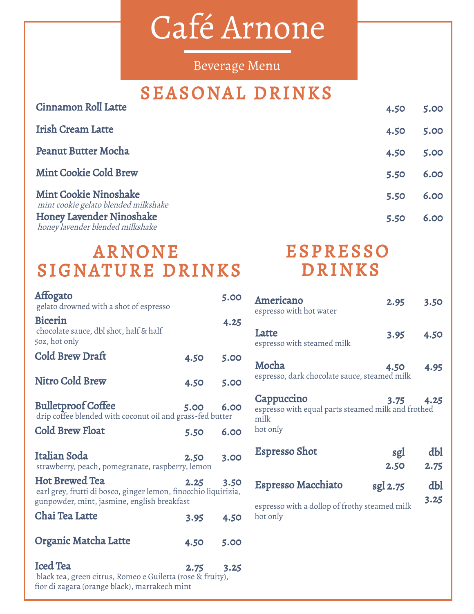# Café Arnone

Beverage Menu

## SEASONAL DRINKS

| Cinnamon Roll Latte                                                  | 4.50 | 5.00 |
|----------------------------------------------------------------------|------|------|
| Irish Cream Latte                                                    | 4.50 | 5.00 |
| <b>Peanut Butter Mocha</b>                                           | 4.50 | 5.00 |
| <b>Mint Cookie Cold Brew</b>                                         | 5.50 | 6.00 |
| <b>Mint Cookie Ninoshake</b><br>mint cookie gelato blended milkshake | 5.50 | 6.00 |
| <b>Honey Lavender Ninoshake</b><br>honey lavender blended milkshake  | 5.50 | 6.00 |

# ARNONE SIGNATURE DRINKS

| Affogato<br>gelato drowned with a shot of espresso                                                                                      |      | 5.00 |
|-----------------------------------------------------------------------------------------------------------------------------------------|------|------|
| <b>Bicerin</b><br>chocolate sauce, dbl shot, half & half<br>50z, hot only                                                               |      | 4.25 |
| Cold Brew Draft                                                                                                                         | 4.50 | 5.00 |
| Nitro Cold Brew                                                                                                                         | 4.50 | 5.00 |
| <b>Bulletproof Coffee</b><br>drip coffee blended with coconut oil and grass-fed butter                                                  | 5.00 | 6.00 |
| <b>Cold Brew Float</b>                                                                                                                  | 5.50 | 6.00 |
| Italian Soda<br>strawberry, peach, pomegranate, raspberry, lemon                                                                        | 2.50 | 3.00 |
| <b>Hot Brewed Tea</b><br>earl grey, frutti di bosco, ginger lemon, finocchio liquirizia,<br>gunpowder, mint, jasmine, english breakfast | 2.25 | 3.50 |
| Chai Tea Latte                                                                                                                          | 3.95 | 4.50 |
| Organic Matcha Latte                                                                                                                    | 4.50 | 5.00 |
| <b>Iced Tea</b><br>black tea, green citrus, Romeo e Guiletta (rose & fruity),                                                           | 2.75 | 3.25 |

## ESPRESSO DRINKS

| Americano<br>espresso with hot water                                                 | 2.95     | 3.50        |
|--------------------------------------------------------------------------------------|----------|-------------|
| Latte<br>espresso with steamed milk                                                  | 3.95     | 4.50        |
| Mocha<br>espresso, dark chocolate sauce, steamed milk                                | 4.50     | 4.95        |
| Cappuccino<br>espresso with equal parts steamed milk and frothed<br>milk<br>hot only | 3.75     | 4.25        |
| Espresso Shot                                                                        | sgl      | dbl         |
|                                                                                      | 2.50     | 2.75        |
| Espresso Macchiato                                                                   | sgl 2.75 | dbl<br>3.25 |

fior di zagara (orange black), marrakech mint